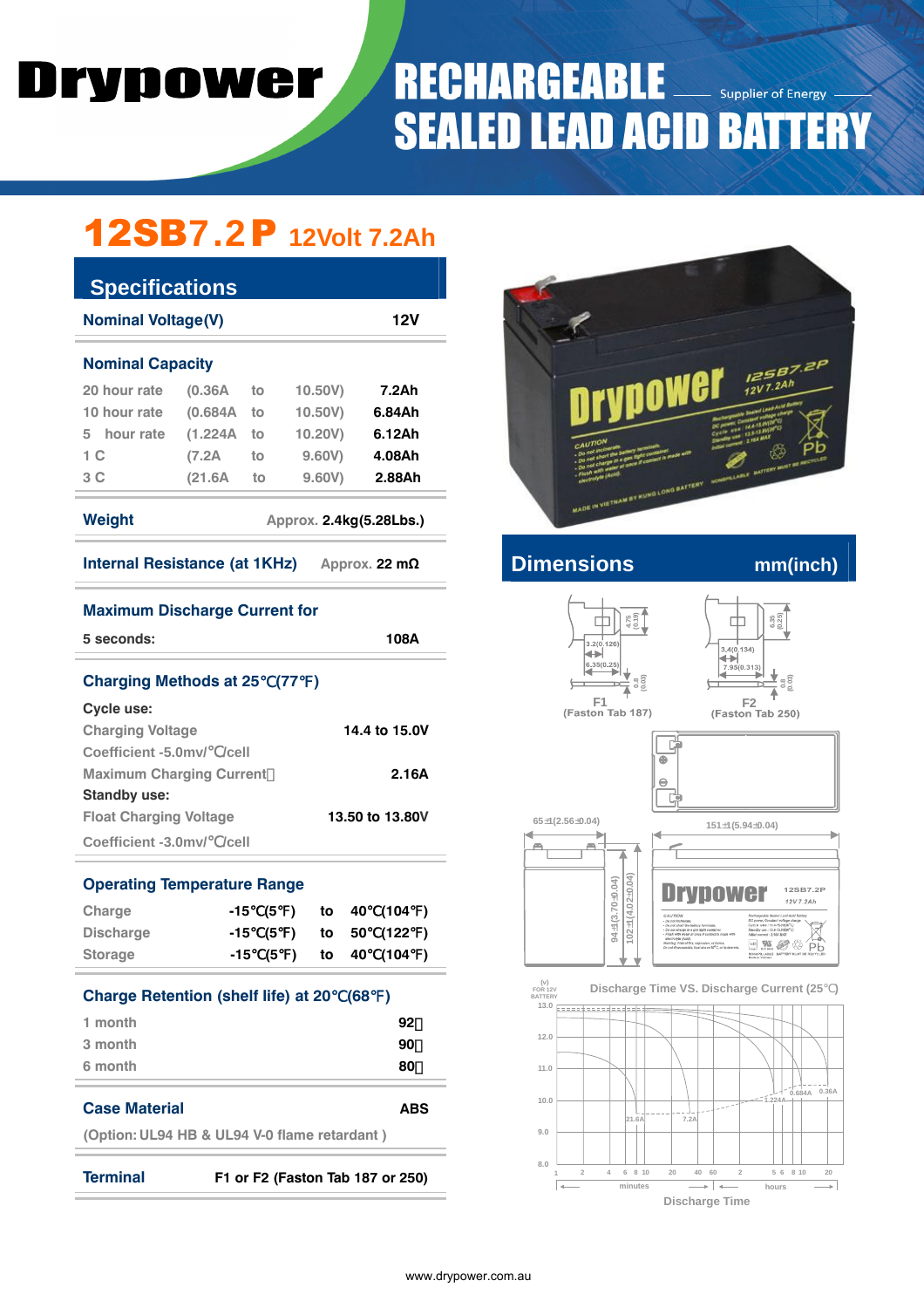# Drypower

### **RECHARGEABL** E **Supplier of Energy SEALED LEAD ACID BATTERY**

## 12SB7.2P **12Volt 7.2Ah**

| <b>Specifications</b>                                 |         |    |                         |        |  |  |  |  |
|-------------------------------------------------------|---------|----|-------------------------|--------|--|--|--|--|
| <b>Nominal Voltage(V)</b><br>12V                      |         |    |                         |        |  |  |  |  |
| <b>Nominal Capacity</b>                               |         |    |                         |        |  |  |  |  |
| 20 hour rate                                          | (0.36A) | to | 10.50V)                 | 7.2Ah  |  |  |  |  |
| 10 hour rate                                          | (0.684A | to | 10.50V                  | 6.84Ah |  |  |  |  |
| 5 hour rate                                           | (1.224A | to | 10.20V)                 | 6.12Ah |  |  |  |  |
| 1 C                                                   | (7.2A   | to | 9.60V)                  | 4.08Ah |  |  |  |  |
| 3 C                                                   | (21.6A) | to | 9.60V                   | 2.88Ah |  |  |  |  |
| Weight                                                |         |    | Approx. 2.4kg(5.28Lbs.) |        |  |  |  |  |
| Internal Resistance (at 1KHz)<br>Approx. 22 $m\Omega$ |         |    |                         |        |  |  |  |  |
| <b>Maximum Discharge Current for</b>                  |         |    |                         |        |  |  |  |  |
| 5 seconds:                                            |         |    |                         | 108A   |  |  |  |  |

| Charging Methods at 25 (77)     |                 |
|---------------------------------|-----------------|
| Cycle use:                      |                 |
| <b>Charging Voltage</b>         | 14.4 to 15.0V   |
| Coefficient -5.0mv/ /cell       |                 |
| <b>Maximum Charging Current</b> | 2.16A           |
| <b>Standby use:</b>             |                 |
| <b>Float Charging Voltage</b>   | 13.50 to 13.80V |
| Coefficient -3.0mv/ /cell       |                 |

#### **Operating Temperature Range**

| Charge                                     |          |  | -15 (5 ) to 40 | (104)                 |  |  |  |
|--------------------------------------------|----------|--|----------------|-----------------------|--|--|--|
| <b>Discharge</b>                           |          |  |                | -15 (5 ) to 50 (122 ) |  |  |  |
| <b>Storage</b>                             | $-15(5)$ |  |                | to 40 (104 )          |  |  |  |
| <b>Charge Retention (shelf life) at 20</b> |          |  | (68)           |                       |  |  |  |
| 1 month                                    |          |  |                | 92                    |  |  |  |
| 3 month                                    |          |  |                | 90                    |  |  |  |
| 6 month                                    |          |  |                | 80                    |  |  |  |

#### **Case Material ABS**

**(Option: UL94 HB & UL94 V-0 flame retardant )** 

**Terminal F1 or F2 (Faston Tab 187 or 250)**



**Internal Resistance (AD** mm(inch)







 **FOR 12V BATTERY**